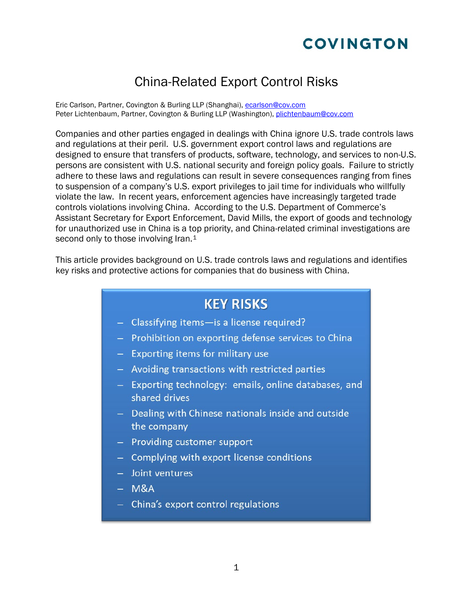# **COVINGTON**

## China-Related Export Control Risks

Eric Carlson, Partner, Covington & Burling LLP (Shanghai), [ecarlson@cov.com](mailto:%20ecarlson@cov.com) Peter Lichtenbaum, Partner, Covington & Burling LLP (Washington), [plichtenbaum@cov.com](mailto:%20plichtenbaum@cov.com)

Companies and other parties engaged in dealings with China ignore U.S. trade controls laws and regulations at their peril. U.S. government export control laws and regulations are designed to ensure that transfers of products, software, technology, and services to non-U.S. persons are consistent with U.S. national security and foreign policy goals. Failure to strictly adhere to these laws and regulations can result in severe consequences ranging from fines to suspension of a company's U.S. export privileges to jail time for individuals who willfully violate the law. In recent years, enforcement agencies have increasingly targeted trade controls violations involving China. According to the U.S. Department of Commerce's Assistant Secretary for Export Enforcement, David Mills, the export of goods and technology for unauthorized use in China is a top priority, and China-related criminal investigations are second only to those involving Iran.<sup>1</sup>

This article provides background on U.S. trade controls laws and regulations and identifies key risks and protective actions for companies that do business with China.

# **KEY RISKS** - Classifying items-is a license required? - Prohibition on exporting defense services to China - Exporting items for military use - Avoiding transactions with restricted parties - Exporting technology: emails, online databases, and shared drives - Dealing with Chinese nationals inside and outside the company - Providing customer support - Complying with export license conditions - Joint ventures  $-$  M&A - China's export control regulations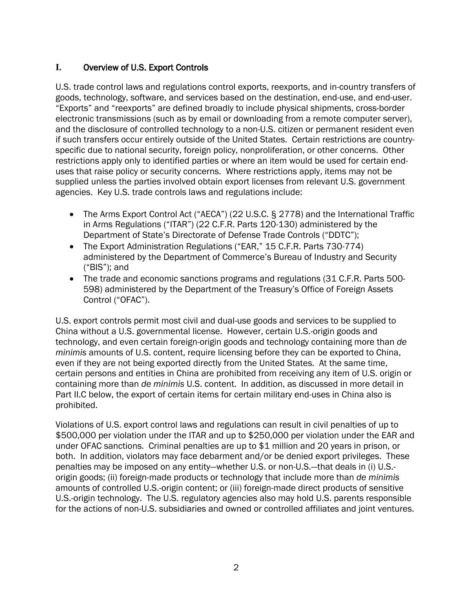## **I.** Overview of U.S. Export Controls

U.S. trade control laws and regulations control exports, reexports, and in-country transfers of goods, technology, software, and services based on the destination, end-use, and end-user. "Exports" and "reexports" are defined broadly to include physical shipments, cross-border electronic transmissions (such as by email or downloading from a remote computer server), and the disclosure of controlled technology to a non-U.S. citizen or permanent resident even if such transfers occur entirely outside of the United States. Certain restrictions are countryspecific due to national security, foreign policy, nonproliferation, or other concerns. Other restrictions apply only to identified parties or where an item would be used for certain enduses that raise policy or security concerns. Where restrictions apply, items may not be supplied unless the parties involved obtain export licenses from relevant U.S. government agencies. Key U.S. trade controls laws and regulations include:

- The Arms Export Control Act ("AECA") (22 U.S.C. § 2778) and the International Traffic in Arms Regulations ("ITAR") (22 C.F.R. Parts 120-130) administered by the Department of State's Directorate of Defense Trade Controls ("DDTC");
- The Export Administration Regulations ("EAR," 15 C.F.R. Parts 730-774) administered by the Department of Commerce's Bureau of Industry and Security ("BIS"); and
- The trade and economic sanctions programs and regulations (31 C.F.R. Parts 500- 598) administered by the Department of the Treasury's Office of Foreign Assets Control ("OFAC").

U.S. export controls permit most civil and dual-use goods and services to be supplied to China without a U.S. governmental license. However, certain U.S.-origin goods and technology, and even certain foreign-origin goods and technology containing more than *de minimis* amounts of U.S. content, require licensing before they can be exported to China, even if they are not being exported directly from the United States. At the same time, certain persons and entities in China are prohibited from receiving any item of U.S. origin or containing more than *de minimis* U.S. content. In addition, as discussed in more detail in Part II.C below, the export of certain items for certain military end-uses in China also is prohibited.

Violations of U.S. export control laws and regulations can result in civil penalties of up to \$500,000 per violation under the ITAR and up to \$250,000 per violation under the EAR and under OFAC sanctions. Criminal penalties are up to \$1 million and 20 years in prison, or both. In addition, violators may face debarment and/or be denied export privileges. These penalties may be imposed on any entity—whether U.S. or non-U.S.—that deals in (i) U.S. origin goods; (ii) foreign-made products or technology that include more than *de minimis* amounts of controlled U.S.-origin content; or (iii) foreign-made direct products of sensitive U.S.-origin technology. The U.S. regulatory agencies also may hold U.S. parents responsible for the actions of non-U.S. subsidiaries and owned or controlled affiliates and joint ventures.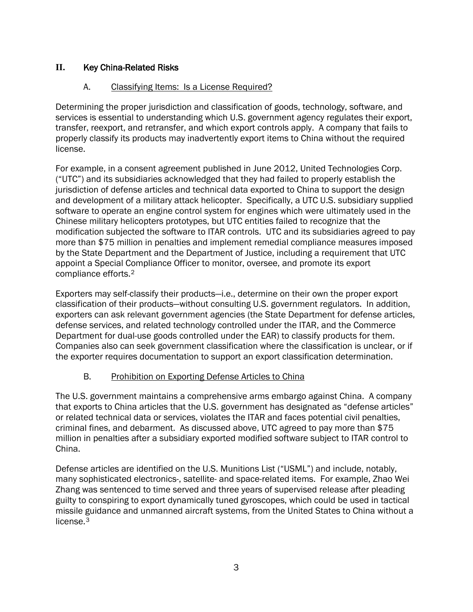## **II.** Key China-Related Risks

## A. Classifying Items: Is a License Required?

Determining the proper jurisdiction and classification of goods, technology, software, and services is essential to understanding which U.S. government agency regulates their export, transfer, reexport, and retransfer, and which export controls apply. A company that fails to properly classify its products may inadvertently export items to China without the required license.

For example, in a consent agreement published in June 2012, United Technologies Corp. ("UTC") and its subsidiaries acknowledged that they had failed to properly establish the jurisdiction of defense articles and technical data exported to China to support the design and development of a military attack helicopter. Specifically, a UTC U.S. subsidiary supplied software to operate an engine control system for engines which were ultimately used in the Chinese military helicopters prototypes, but UTC entities failed to recognize that the modification subjected the software to ITAR controls. UTC and its subsidiaries agreed to pay more than \$75 million in penalties and implement remedial compliance measures imposed by the State Department and the Department of Justice, including a requirement that UTC appoint a Special Compliance Officer to monitor, oversee, and promote its export compliance efforts.[2](#page-10-1)

Exporters may self-classify their products—i.e., determine on their own the proper export classification of their products—without consulting U.S. government regulators. In addition, exporters can ask relevant government agencies (the State Department for defense articles, defense services, and related technology controlled under the ITAR, and the Commerce Department for dual-use goods controlled under the EAR) to classify products for them. Companies also can seek government classification where the classification is unclear, or if the exporter requires documentation to support an export classification determination.

## B. Prohibition on Exporting Defense Articles to China

The U.S. government maintains a comprehensive arms embargo against China. A company that exports to China articles that the U.S. government has designated as "defense articles" or related technical data or services, violates the ITAR and faces potential civil penalties, criminal fines, and debarment. As discussed above, UTC agreed to pay more than \$75 million in penalties after a subsidiary exported modified software subject to ITAR control to China.

Defense articles are identified on the U.S. Munitions List ("USML") and include, notably, many sophisticated electronics-, satellite- and space-related items. For example, Zhao Wei Zhang was sentenced to time served and three years of supervised release after pleading guilty to conspiring to export dynamically tuned gyroscopes, which could be used in tactical missile guidance and unmanned aircraft systems, from the United States to China without a license.<sup>[3](#page-10-2)</sup>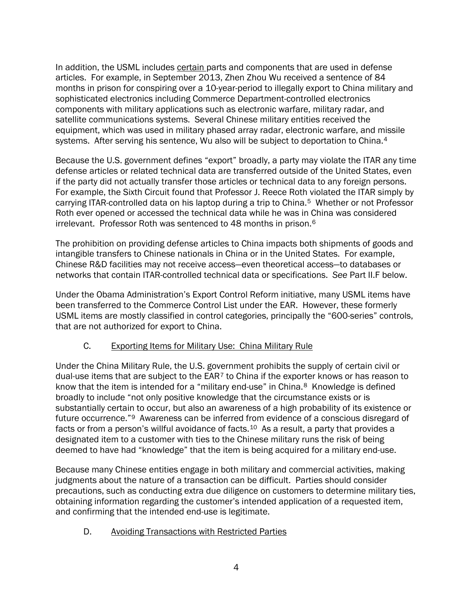In addition, the USML includes certain parts and components that are used in defense articles. For example, in September 2013, Zhen Zhou Wu received a sentence of 84 months in prison for conspiring over a 10-year-period to illegally export to China military and sophisticated electronics including Commerce Department-controlled electronics components with military applications such as electronic warfare, military radar, and satellite communications systems. Several Chinese military entities received the equipment, which was used in military phased array radar, electronic warfare, and missile systems. After serving his sentence, Wu also will be subject to deportation to China.<sup>4</sup>

Because the U.S. government defines "export" broadly, a party may violate the ITAR any time defense articles or related technical data are transferred outside of the United States, even if the party did not actually transfer those articles or technical data to any foreign persons. For example, the Sixth Circuit found that Professor J. Reece Roth violated the ITAR simply by carrying ITAR-controlled data on his laptop during a trip to China.[5](#page-11-1) Whether or not Professor Roth ever opened or accessed the technical data while he was in China was considered irrelevant. Professor Roth was sentenced to 48 months in prison.[6](#page-11-2)

The prohibition on providing defense articles to China impacts both shipments of goods and intangible transfers to Chinese nationals in China or in the United States. For example, Chinese R&D facilities may not receive access—even theoretical access—to databases or networks that contain ITAR-controlled technical data or specifications. *See* Part II.F below.

Under the Obama Administration's Export Control Reform initiative, many USML items have been transferred to the Commerce Control List under the EAR. However, these formerly USML items are mostly classified in control categories, principally the "600-series" controls, that are not authorized for export to China.

#### C. Exporting Items for Military Use: China Military Rule

Under the China Military Rule, the U.S. government prohibits the supply of certain civil or dual-use items that are subject to the  $EAR<sup>7</sup>$  $EAR<sup>7</sup>$  $EAR<sup>7</sup>$  to China if the exporter knows or has reason to know that the item is intended for a "military end-use" in China.<sup>8</sup> Knowledge is defined broadly to include "not only positive knowledge that the circumstance exists or is substantially certain to occur, but also an awareness of a high probability of its existence or future occurrence."[9](#page-11-5) Awareness can be inferred from evidence of a conscious disregard of facts or from a person's willful avoidance of facts.<sup>10</sup> As a result, a party that provides a designated item to a customer with ties to the Chinese military runs the risk of being deemed to have had "knowledge" that the item is being acquired for a military end-use.

Because many Chinese entities engage in both military and commercial activities, making judgments about the nature of a transaction can be difficult. Parties should consider precautions, such as conducting extra due diligence on customers to determine military ties, obtaining information regarding the customer's intended application of a requested item, and confirming that the intended end-use is legitimate.

#### D. Avoiding Transactions with Restricted Parties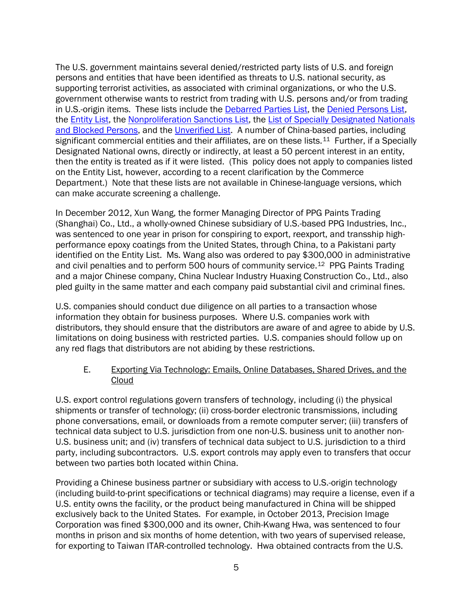The U.S. government maintains several denied/restricted party lists of U.S. and foreign persons and entities that have been identified as threats to U.S. national security, as supporting terrorist activities, as associated with criminal organizations, or who the U.S. government otherwise wants to restrict from trading with U.S. persons and/or from trading in U.S.-origin items. These lists include the [Debarred Parties List,](http://www.pmddtc.state.gov/compliance/debar_intro.html) the [Denied Persons List,](http://www.bis.doc.gov/dpl/default.shtm) the [Entity List,](http://www.bis.doc.gov/entities/default.htm) the [Nonproliferation Sanctions List,](http://www.state.gov/t/isn/c15231.htm) the [List of Specially Designated Nationals](http://www.treasury.gov/resource-center/sanctions/SDN-List/Pages/default.aspx)  [and Blocked Persons,](http://www.treasury.gov/resource-center/sanctions/SDN-List/Pages/default.aspx) and the [Unverified List.](http://www.bis.doc.gov/enforcement/unverifiedlist/unverified_parties.html) A number of China-based parties, including significant commercial entities and their affiliates, are on these lists.<sup>[11](#page-11-7)</sup> Further, if a Specially Designated National owns, directly or indirectly, at least a 50 percent interest in an entity, then the entity is treated as if it were listed. (This policy does not apply to companies listed on the Entity List, however, according to a recent clarification by the Commerce Department.) Note that these lists are not available in Chinese-language versions, which can make accurate screening a challenge.

In December 2012, Xun Wang, the former Managing Director of PPG Paints Trading (Shanghai) Co., Ltd., a wholly-owned Chinese subsidiary of U.S.-based PPG Industries, Inc., was sentenced to one year in prison for conspiring to export, reexport, and transship highperformance epoxy coatings from the United States, through China, to a Pakistani party identified on the Entity List. Ms. Wang also was ordered to pay \$300,000 in administrative and civil penalties and to perform 500 hours of community service.<sup>12</sup> PPG Paints Trading and a major Chinese company, China Nuclear Industry Huaxing Construction Co., Ltd., also pled guilty in the same matter and each company paid substantial civil and criminal fines.

U.S. companies should conduct due diligence on all parties to a transaction whose information they obtain for business purposes. Where U.S. companies work with distributors, they should ensure that the distributors are aware of and agree to abide by U.S. limitations on doing business with restricted parties. U.S. companies should follow up on any red flags that distributors are not abiding by these restrictions.

#### E. Exporting Via Technology: Emails, Online Databases, Shared Drives, and the Cloud

U.S. export control regulations govern transfers of technology, including (i) the physical shipments or transfer of technology; (ii) cross-border electronic transmissions, including phone conversations, email, or downloads from a remote computer server; (iii) transfers of technical data subject to U.S. jurisdiction from one non-U.S. business unit to another non-U.S. business unit; and (iv) transfers of technical data subject to U.S. jurisdiction to a third party, including subcontractors. U.S. export controls may apply even to transfers that occur between two parties both located within China.

Providing a Chinese business partner or subsidiary with access to U.S.-origin technology (including build-to-print specifications or technical diagrams) may require a license, even if a U.S. entity owns the facility, or the product being manufactured in China will be shipped exclusively back to the United States. For example, in October 2013, Precision Image Corporation was fined \$300,000 and its owner, Chih-Kwang Hwa, was sentenced to four months in prison and six months of home detention, with two years of supervised release, for exporting to Taiwan ITAR-controlled technology. Hwa obtained contracts from the U.S.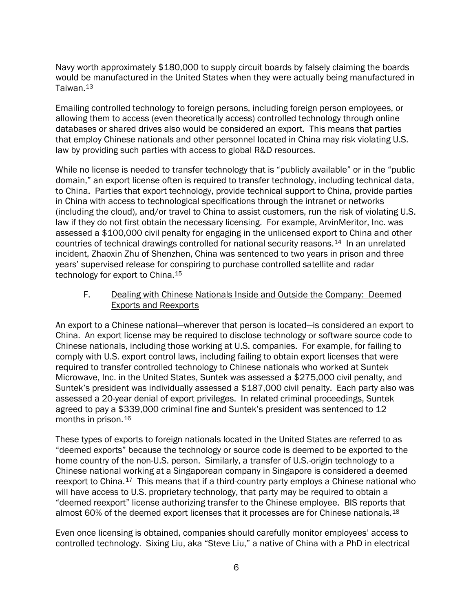Navy worth approximately \$180,000 to supply circuit boards by falsely claiming the boards would be manufactured in the United States when they were actually being manufactured in Taiwan.[13](#page-11-9)

Emailing controlled technology to foreign persons, including foreign person employees, or allowing them to access (even theoretically access) controlled technology through online databases or shared drives also would be considered an export. This means that parties that employ Chinese nationals and other personnel located in China may risk violating U.S. law by providing such parties with access to global R&D resources.

While no license is needed to transfer technology that is "publicly available" or in the "public domain," an export license often is required to transfer technology, including technical data, to China. Parties that export technology, provide technical support to China, provide parties in China with access to technological specifications through the intranet or networks (including the cloud), and/or travel to China to assist customers, run the risk of violating U.S. law if they do not first obtain the necessary licensing. For example, ArvinMeritor, Inc. was assessed a \$100,000 civil penalty for engaging in the unlicensed export to China and other countries of technical drawings controlled for national security reasons.[14](#page-11-10) In an unrelated incident, Zhaoxin Zhu of Shenzhen, China was sentenced to two years in prison and three years' supervised release for conspiring to purchase controlled satellite and radar technology for export to China.<sup>[15](#page-11-11)</sup>

F. Dealing with Chinese Nationals Inside and Outside the Company: Deemed Exports and Reexports

An export to a Chinese national—wherever that person is located—is considered an export to China. An export license may be required to disclose technology or software source code to Chinese nationals, including those working at U.S. companies. For example, for failing to comply with U.S. export control laws, including failing to obtain export licenses that were required to transfer controlled technology to Chinese nationals who worked at Suntek Microwave, Inc. in the United States, Suntek was assessed a \$275,000 civil penalty, and Suntek's president was individually assessed a \$187,000 civil penalty. Each party also was assessed a 20-year denial of export privileges. In related criminal proceedings, Suntek agreed to pay a \$339,000 criminal fine and Suntek's president was sentenced to 12 months in prison.[16](#page-11-12)

These types of exports to foreign nationals located in the United States are referred to as "deemed exports" because the technology or source code is deemed to be exported to the home country of the non-U.S. person. Similarly, a transfer of U.S.-origin technology to a Chinese national working at a Singaporean company in Singapore is considered a deemed reexport to China.<sup>[17](#page-11-13)</sup> This means that if a third-country party employs a Chinese national who will have access to U.S. proprietary technology, that party may be required to obtain a "deemed reexport" license authorizing transfer to the Chinese employee. BIS reports that almost 60% of the deemed export licenses that it processes are for Chinese nationals.<sup>[18](#page-11-14)</sup>

Even once licensing is obtained, companies should carefully monitor employees' access to controlled technology. Sixing Liu, aka "Steve Liu," a native of China with a PhD in electrical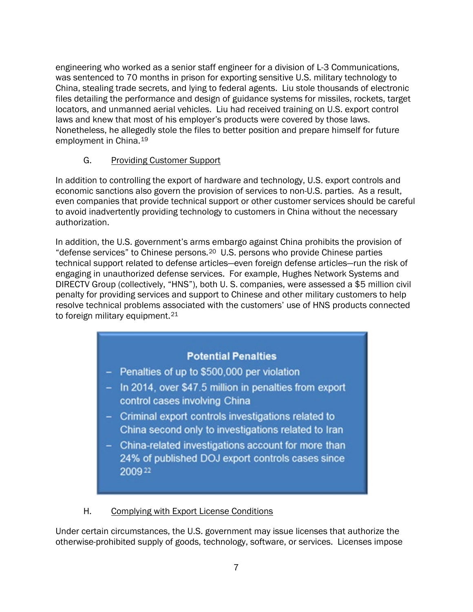engineering who worked as a senior staff engineer for a division of L-3 Communications, was sentenced to 70 months in prison for exporting sensitive U.S. military technology to China, stealing trade secrets, and lying to federal agents. Liu stole thousands of electronic files detailing the performance and design of guidance systems for missiles, rockets, target locators, and unmanned aerial vehicles. Liu had received training on U.S. export control laws and knew that most of his employer's products were covered by those laws. Nonetheless, he allegedly stole the files to better position and prepare himself for future employment in China.[19](#page-11-15)

## G. Providing Customer Support

In addition to controlling the export of hardware and technology, U.S. export controls and economic sanctions also govern the provision of services to non-U.S. parties. As a result, even companies that provide technical support or other customer services should be careful to avoid inadvertently providing technology to customers in China without the necessary authorization.

In addition, the U.S. government's arms embargo against China prohibits the provision of "defense services" to Chinese persons.[20](#page-11-16) U.S. persons who provide Chinese parties technical support related to defense articles—even foreign defense articles—run the risk of engaging in unauthorized defense services. For example, Hughes Network Systems and DIRECTV Group (collectively, "HNS"), both U. S. companies, were assessed a \$5 million civil penalty for providing services and support to Chinese and other military customers to help resolve technical problems associated with the customers' use of HNS products connected to foreign military equipment.<sup>[21](#page-11-17)</sup>

## **Potential Penalties**

- Penalties of up to \$500,000 per violation
- In 2014, over \$47.5 million in penalties from export control cases involving China
- Criminal export controls investigations related to China second only to investigations related to Iran
- China-related investigations account for more than 24% of published DOJ export controls cases since 200922

#### H. Complying with Export License Conditions

Under certain circumstances, the U.S. government may issue licenses that authorize the otherwise-prohibited supply of goods, technology, software, or services. Licenses impose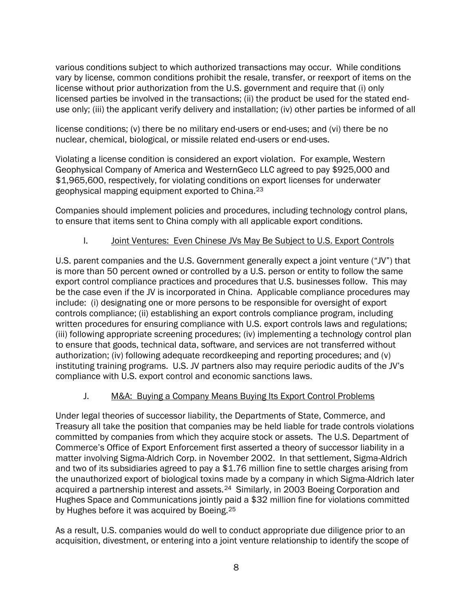various conditions subject to which authorized transactions may occur. While conditions vary by license, common conditions prohibit the resale, transfer, or reexport of items on the license without prior authorization from the U.S. government and require that (i) only licensed parties be involved in the transactions; (ii) the product be used for the stated enduse only; (iii) the applicant verify delivery and installation; (iv) other parties be informed of all

license conditions; (v) there be no military end-users or end-uses; and (vi) there be no nuclear, chemical, biological, or missile related end-users or end-uses.

Violating a license condition is considered an export violation. For example, Western Geophysical Company of America and WesternGeco LLC agreed to pay \$925,000 and \$1,965,600, respectively, for violating conditions on export licenses for underwater geophysical mapping equipment exported to China.[23](#page-11-2)

Companies should implement policies and procedures, including technology control plans, to ensure that items sent to China comply with all applicable export conditions.

## I. Joint Ventures: Even Chinese JVs May Be Subject to U.S. Export Controls

U.S. parent companies and the U.S. Government generally expect a joint venture ("JV") that is more than 50 percent owned or controlled by a U.S. person or entity to follow the same export control compliance practices and procedures that U.S. businesses follow. This may be the case even if the JV is incorporated in China. Applicable compliance procedures may include: (i) designating one or more persons to be responsible for oversight of export controls compliance; (ii) establishing an export controls compliance program, including written procedures for ensuring compliance with U.S. export controls laws and regulations; (iii) following appropriate screening procedures; (iv) implementing a technology control plan to ensure that goods, technical data, software, and services are not transferred without authorization; (iv) following adequate recordkeeping and reporting procedures; and (v) instituting training programs. U.S. JV partners also may require periodic audits of the JV's compliance with U.S. export control and economic sanctions laws.

#### J. M&A: Buying a Company Means Buying Its Export Control Problems

Under legal theories of successor liability, the Departments of State, Commerce, and Treasury all take the position that companies may be held liable for trade controls violations committed by companies from which they acquire stock or assets. The U.S. Department of Commerce's Office of Export Enforcement first asserted a theory of successor liability in a matter involving Sigma-Aldrich Corp. in November 2002. In that settlement, Sigma-Aldrich and two of its subsidiaries agreed to pay a \$1.76 million fine to settle charges arising from the unauthorized export of biological toxins made by a company in which Sigma-Aldrich later acquired a partnership interest and assets.<sup>24</sup> Similarly, in 2003 Boeing Corporation and Hughes Space and Communications jointly paid a \$32 million fine for violations committed by Hughes before it was acquired by Boeing.[25](#page-11-20)

As a result, U.S. companies would do well to conduct appropriate due diligence prior to an acquisition, divestment, or entering into a joint venture relationship to identify the scope of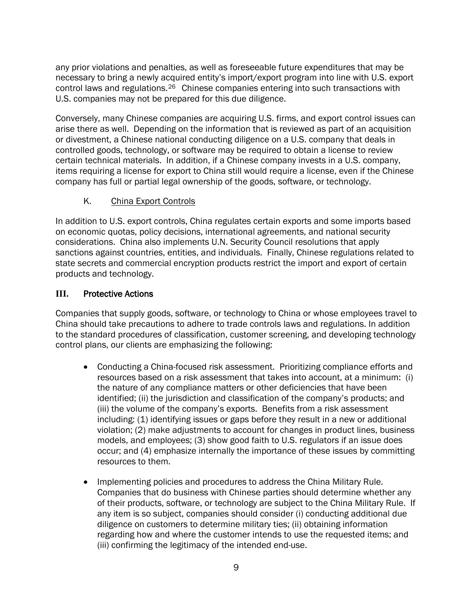any prior violations and penalties, as well as foreseeable future expenditures that may be necessary to bring a newly acquired entity's import/export program into line with U.S. export control laws and regulations.[26](#page-11-6) Chinese companies entering into such transactions with U.S. companies may not be prepared for this due diligence.

Conversely, many Chinese companies are acquiring U.S. firms, and export control issues can arise there as well. Depending on the information that is reviewed as part of an acquisition or divestment, a Chinese national conducting diligence on a U.S. company that deals in controlled goods, technology, or software may be required to obtain a license to review certain technical materials. In addition, if a Chinese company invests in a U.S. company, items requiring a license for export to China still would require a license, even if the Chinese company has full or partial legal ownership of the goods, software, or technology.

## K. China Export Controls

In addition to U.S. export controls, China regulates certain exports and some imports based on economic quotas, policy decisions, international agreements, and national security considerations. China also implements U.N. Security Council resolutions that apply sanctions against countries, entities, and individuals. Finally, Chinese regulations related to state secrets and commercial encryption products restrict the import and export of certain products and technology.

## **III.** Protective Actions

Companies that supply goods, software, or technology to China or whose employees travel to China should take precautions to adhere to trade controls laws and regulations. In addition to the standard procedures of classification, customer screening, and developing technology control plans, our clients are emphasizing the following:

- Conducting a China-focused risk assessment. Prioritizing compliance efforts and resources based on a risk assessment that takes into account, at a minimum: (i) the nature of any compliance matters or other deficiencies that have been identified; (ii) the jurisdiction and classification of the company's products; and (iii) the volume of the company's exports. Benefits from a risk assessment including: (1) identifying issues or gaps before they result in a new or additional violation; (2) make adjustments to account for changes in product lines, business models, and employees; (3) show good faith to U.S. regulators if an issue does occur; and (4) emphasize internally the importance of these issues by committing resources to them.
- Implementing policies and procedures to address the China Military Rule. Companies that do business with Chinese parties should determine whether any of their products, software, or technology are subject to the China Military Rule. If any item is so subject, companies should consider (i) conducting additional due diligence on customers to determine military ties; (ii) obtaining information regarding how and where the customer intends to use the requested items; and (iii) confirming the legitimacy of the intended end-use.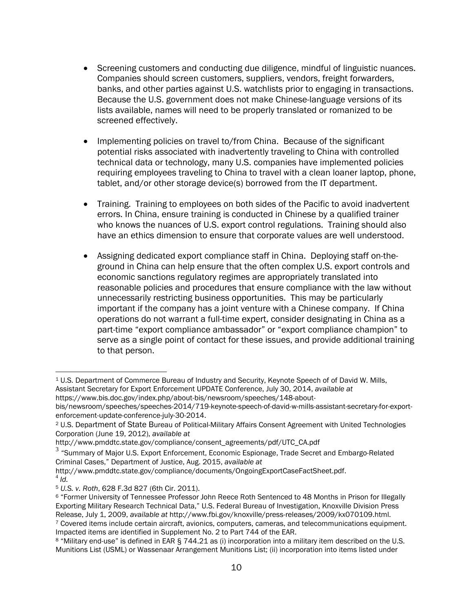- Screening customers and conducting due diligence, mindful of linguistic nuances. Companies should screen customers, suppliers, vendors, freight forwarders, banks, and other parties against U.S. watchlists prior to engaging in transactions. Because the U.S. government does not make Chinese-language versions of its lists available, names will need to be properly translated or romanized to be screened effectively.
- Implementing policies on travel to/from China. Because of the significant potential risks associated with inadvertently traveling to China with controlled technical data or technology, many U.S. companies have implemented policies requiring employees traveling to China to travel with a clean loaner laptop, phone, tablet, and/or other storage device(s) borrowed from the IT department.
- Training. Training to employees on both sides of the Pacific to avoid inadvertent errors. In China, ensure training is conducted in Chinese by a qualified trainer who knows the nuances of U.S. export control regulations. Training should also have an ethics dimension to ensure that corporate values are well understood.
- Assigning dedicated export compliance staff in China. Deploying staff on-theground in China can help ensure that the often complex U.S. export controls and economic sanctions regulatory regimes are appropriately translated into reasonable policies and procedures that ensure compliance with the law without unnecessarily restricting business opportunities. This may be particularly important if the company has a joint venture with a Chinese company. If China operations do not warrant a full-time expert, consider designating in China as a part-time "export compliance ambassador" or "export compliance champion" to serve as a single point of contact for these issues, and provide additional training to that person.

 $\overline{a}$ <sup>1</sup> U.S. Department of Commerce Bureau of Industry and Security, Keynote Speech of of David W. Mills, Assistant Secretary for Export Enforcement UPDATE Conference, July 30, 2014, *available at* https://www.bis.doc.gov/index.php/about-bis/newsroom/speeches/148-about-

bis/newsroom/speeches/speeches-2014/719-keynote-speech-of-david-w-mills-assistant-secretary-for-exportenforcement-update-conference-july-30-2014.

<sup>2</sup> U.S. Department of State Bureau of Political-Military Affairs Consent Agreement with United Technologies Corporation (June 19, 2012), *available at* 

http://www.pmddtc.state.gov/compliance/consent\_agreements/pdf/UTC\_CA.pdf

 $3$  "Summary of Major U.S. Export Enforcement, Economic Espionage, Trade Secret and Embargo-Related Criminal Cases," Department of Justice, Aug. 2015, *available at* 

http://www.pmddtc.state.gov/compliance/documents/OngoingExportCaseFactSheet.pdf. <sup>4</sup> *Id.*

<sup>5</sup> *U.S. v. Roth*, 628 F.3d 827 (6th Cir. 2011).

<sup>6</sup> "Former University of Tennessee Professor John Reece Roth Sentenced to 48 Months in Prison for Illegally Exporting Military Research Technical Data," U.S. Federal Bureau of Investigation, Knoxville Division Press Release, July 1, 2009, *available at* http://www.fbi.gov/knoxville/press-releases/2009/kx070109.html.

<sup>7</sup> Covered items include certain aircraft, avionics, computers, cameras, and telecommunications equipment. Impacted items are identified in Supplement No. 2 to Part 744 of the EAR.

<sup>8</sup> "Military end-use" is defined in EAR § 744.21 as (i) incorporation into a military item described on the U.S. Munitions List (USML) or Wassenaar Arrangement Munitions List; (ii) incorporation into items listed under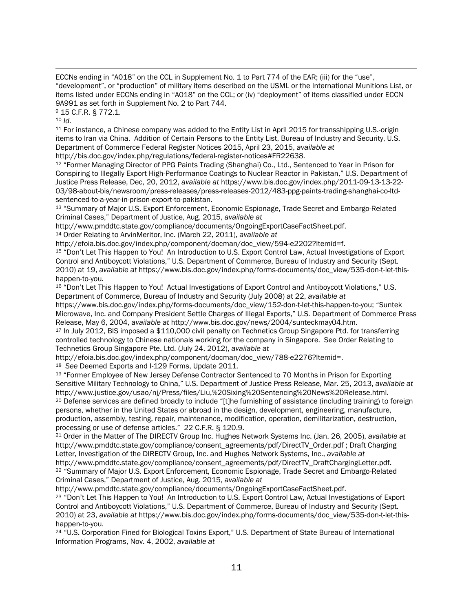-ECCNs ending in "A018" on the CCL in Supplement No. 1 to Part 774 of the EAR; (iii) for the "use", "development", or "production" of military items described on the USML or the International Munitions List, or items listed under ECCNs ending in "A018" on the CCL; or (iv) "deployment" of items classified under ECCN 9A991 as set forth in Supplement No. 2 to Part 744.

<sup>9</sup> 15 C.F.R. § 772.1.

<sup>10</sup> *Id.*

<sup>11</sup> For instance, a Chinese company was added to the Entity List in April 2015 for transshipping U.S.-origin items to Iran via China. Addition of Certain Persons to the Entity List, Bureau of Industry and Security, U.S. Department of Commerce Federal Register Notices 2015, April 23, 2015, *available at* http://bis.doc.gov/index.php/regulations/federal-register-notices#FR22638.

<sup>12</sup> "Former Managing Director of PPG Paints Trading (Shanghai) Co., Ltd., Sentenced to Year in Prison for Conspiring to Illegally Export High-Performance Coatings to Nuclear Reactor in Pakistan," U.S. Department of Justice Press Release, Dec, 20, 2012, *available at* https://www.bis.doc.gov/index.php/2011-09-13-13-22- 03/98-about-bis/newsroom/press-releases/press-releases-2012/483-ppg-paints-trading-shanghai-co-ltdsentenced-to-a-year-in-prison-export-to-pakistan.

<sup>13</sup> "Summary of Major U.S. Export Enforcement, Economic Espionage, Trade Secret and Embargo-Related Criminal Cases," Department of Justice, Aug. 2015, *available at* 

http://www.pmddtc.state.gov/compliance/documents/OngoingExportCaseFactSheet.pdf.

<sup>14</sup> Order Relating to ArvinMeritor, Inc. (March 22, 2011), *available at*

http://efoia.bis.doc.gov/index.php/component/docman/doc\_view/594-e2202?Itemid=f.

<sup>15</sup> "Don't Let This Happen to You! An Introduction to U.S. Export Control Law, Actual Investigations of Export Control and Antiboycott Violations," U.S. Department of Commerce, Bureau of Industry and Security (Sept. 2010) at 19, *available at* https://www.bis.doc.gov/index.php/forms-documents/doc\_view/535-don-t-let-thishappen-to-you.

<sup>16</sup> "Don't Let This Happen to You! Actual Investigations of Export Control and Antiboycott Violations," U.S. Department of Commerce, Bureau of Industry and Security (July 2008) at 22, *available at*

https://www.bis.doc.gov/index.php/forms-documents/doc\_view/152-don-t-let-this-happen-to-you; "Suntek Microwave, Inc. and Company President Settle Charges of Illegal Exports," U.S. Department of Commerce Press Release, May 6, 2004, *available at* http://www.bis.doc.gov/news/2004/sunteckmay04.htm.

<sup>17</sup> In July 2012, BIS imposed a \$110,000 civil penalty on Technetics Group Singapore Ptd. for transferring controlled technology to Chinese nationals working for the company in Singapore. See Order Relating to Technetics Group Singapore Pte. Ltd. (July 24, 2012), *available at* 

http://efoia.bis.doc.gov/index.php/component/docman/doc\_view/788-e2276?Itemid=.

18 *See* Deemed Exports and I-129 Forms, Update 2011.

<span id="page-10-0"></span><sup>19</sup> "Former Employee of New Jersey Defense Contractor Sentenced to 70 Months in Prison for Exporting Sensitive Military Technology to China," U.S. Department of Justice Press Release, Mar. 25, 2013, *available at*  http://www.justice.gov/usao/nj/Press/files/Liu,%20Sixing%20Sentencing%20News%20Release.html.

<sup>20</sup> Defense services are defined broadly to include "[t]he furnishing of assistance (including training) to foreign persons, whether in the United States or abroad in the design, development, engineering, manufacture, production, assembly, testing, repair, maintenance, modification, operation, demilitarization, destruction, processing or use of defense articles." 22 C.F.R. § 120.9.

<span id="page-10-1"></span><sup>21</sup> Order in the Matter of The DIRECTV Group Inc. Hughes Network Systems Inc. (Jan. 26, 2005), *available at*  http://www.pmddtc.state.gov/compliance/consent\_agreements/pdf/DirectTV\_Order.pdf ; Draft Charging Letter, Investigation of the DIRECTV Group, Inc. and Hughes Network Systems, Inc., *available at* 

<span id="page-10-2"></span>http://www.pmddtc.state.gov/compliance/consent\_agreements/pdf/DirectTV\_DraftChargingLetter.pdf. <sup>22</sup> "Summary of Major U.S. Export Enforcement, Economic Espionage, Trade Secret and Embargo-Related Criminal Cases," Department of Justice, Aug. 2015, *available at* 

http://www.pmddtc.state.gov/compliance/documents/OngoingExportCaseFactSheet.pdf.

<sup>23</sup> "Don't Let This Happen to You! An Introduction to U.S. Export Control Law, Actual Investigations of Export Control and Antiboycott Violations," U.S. Department of Commerce, Bureau of Industry and Security (Sept. 2010) at 23, *available at* https://www.bis.doc.gov/index.php/forms-documents/doc\_view/535-don-t-let-thishappen-to-you.

<sup>24</sup> "U.S. Corporation Fined for Biological Toxins Export," U.S. Department of State Bureau of International Information Programs, Nov. 4, 2002, *available at*